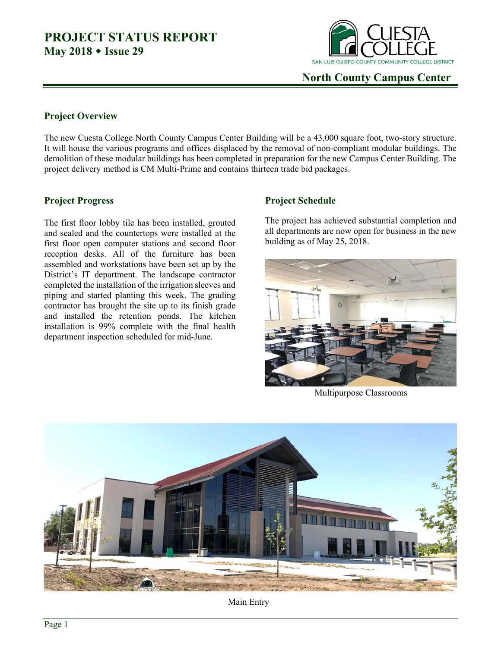### **PROJECT STATUS REPORT May 2018 Issue 29**



 **North County Campus Center** 

#### **Project Overview**

The new Cuesta College North County Campus Center Building will be a 43,000 square foot, two-story structure. It will house the various programs and offices displaced by the removal of non-compliant modular buildings. The demolition of these modular buildings has been completed in preparation for the new Campus Center Building. The project delivery method is CM Multi-Prime and contains thirteen trade bid packages.

#### **Project Progress**

The first floor lobby tile has been installed, grouted and sealed and the countertops were installed at the first floor open computer stations and second floor reception desks. All of the furniture has been assembled and workstations have been set up by the District's IT department. The landscape contractor completed the installation of the irrigation sleeves and piping and started planting this week. The grading contractor has brought the site up to its finish grade and installed the retention ponds. The kitchen installation is 99% complete with the final health department inspection scheduled for mid-June.

### **Project Schedule**

The project has achieved substantial completion and all departments are now open for business in the new building as of May 25, 2018.



Multipurpose Classrooms



Main Entry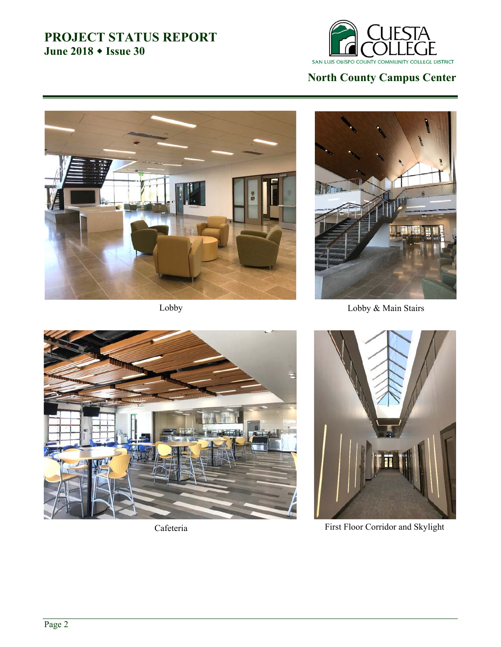## **PROJECT STATUS REPORT June 2018 Issue 30**



# **North County Campus Center**





Lobby Lobby & Main Stairs





Cafeteria First Floor Corridor and Skylight